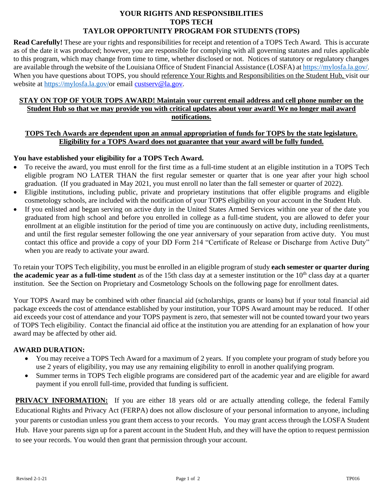### **YOUR RIGHTS AND RESPONSIBILITIES TOPS TECH TAYLOR OPPORTUNITY PROGRAM FOR STUDENTS (TOPS)**

**Read Carefully!** These are your rights and responsibilities for receipt and retention of a TOPS Tech Award. This is accurate as of the date it was produced; however, you are responsible for complying with all governing statutes and rules applicable to this program, which may change from time to time, whether disclosed or not. Notices of statutory or regulatory changes are available through the website of the Louisiana Office of Student Financial Assistance (LOSFA) at <https://mylosfa.la.gov/>. When you have questions about TOPS, you should reference Your Rights and Responsibilities on the Student Hub, visit our website at [https://mylosfa.la.gov/o](https://mylosfa.la.gov/)r email [custserv@la.gov.](mailto:custserv@la.gov)

### **STAY ON TOP OF YOUR TOPS AWARD! Maintain your current email address and cell phone number on the Student Hub so that we may provide you with critical updates about your award! We no longer mail award notifications.**

#### **TOPS Tech Awards are dependent upon an annual appropriation of funds for TOPS by the state legislature. Eligibility for a TOPS Award does not guarantee that your award will be fully funded.**

## **You have established your eligibility for a TOPS Tech Award.**

- To receive the award, you must enroll for the first time as a full-time student at an eligible institution in a TOPS Tech eligible program NO LATER THAN the first regular semester or quarter that is one year after your high school graduation. (If you graduated in May 2021, you must enroll no later than the fall semester or quarter of 2022).
- Eligible institutions, including public, private and proprietary institutions that offer eligible programs and eligible cosmetology schools, are included with the notification of your TOPS eligibility on your account in the Student Hub.
- If you enlisted and began serving on active duty in the United States Armed Services within one year of the date you graduated from high school and before you enrolled in college as a full-time student, you are allowed to defer your enrollment at an eligible institution for the period of time you are continuously on active duty, including reenlistments, and until the first regular semester following the one year anniversary of your separation from active duty. You must contact this office and provide a copy of your DD Form 214 "Certificate of Release or Discharge from Active Duty" when you are ready to activate your award.

To retain your TOPS Tech eligibility, you must be enrolled in an eligible program of study **each semester or quarter during**  the academic year as a full-time student as of the 15th class day at a semester institution or the 10<sup>th</sup> class day at a quarter institution. See the Section on Proprietary and Cosmetology Schools on the following page for enrollment dates.

Your TOPS Award may be combined with other financial aid (scholarships, grants or loans) but if your total financial aid package exceeds the cost of attendance established by your institution, your TOPS Award amount may be reduced. If other aid exceeds your cost of attendance and your TOPS payment is zero, that semester will not be counted toward your two years of TOPS Tech eligibility. Contact the financial aid office at the institution you are attending for an explanation of how your award may be affected by other aid.

### **AWARD DURATION:**

- You may receive a TOPS Tech Award for a maximum of 2 years. If you complete your program of study before you use 2 years of eligibility, you may use any remaining eligibility to enroll in another qualifying program.
- Summer terms in TOPS Tech eligible programs are considered part of the academic year and are eligible for award payment if you enroll full-time, provided that funding is sufficient.

**PRIVACY INFORMATION:** If you are either 18 years old or are actually attending college, the federal Family Educational Rights and Privacy Act (FERPA) does not allow disclosure of your personal information to anyone, including your parents or custodian unless you grant them access to your records. You may grant access through the LOSFA Student Hub. Have your parents sign up for a parent account in the Student Hub, and they will have the option to request permission to see your records. You would then grant that permission through your account.